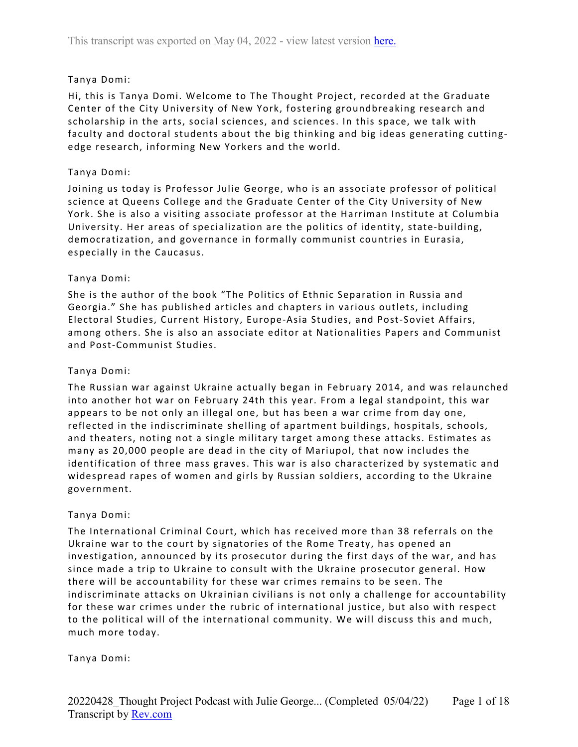# Tanya Domi:

Hi, this is Tanya Domi. Welcome to The Thought Project, recorded at the Graduate Center of the City University of New York, fostering groundbreaking research and scholarship in the arts, social sciences, and sciences. In this space, we talk with faculty and doctoral students about the big thinking and big ideas generating cuttingedge research, informing New Yorkers and the world.

### Tanya Domi:

Joining us today is Professor Julie George, who is an associate professor of political science at Queens College and the Graduate Center of the City University of New York. She is also a visiting associate professor at the Harriman Institute at Columbia University. Her areas of specialization are the politics of identity, state-building, democratization, and governance in formally communist countries in Eurasia, especially in the Caucasus.

### Tanya Domi:

She is the author of the book "The Politics of Ethnic Separation in Russia and Georgia." She has published articles and chapters in various outlets, including Electoral Studies, Current History, Europe-Asia Studies, and Post-Soviet Affairs, among others. She is also an associate editor at Nationalities Papers and Communist and Post-Communist Studies.

#### Tanya Domi:

The Russian war against Ukraine actually began in February 2014, and was relaunched into another hot war on February 24th this year. From a legal standpoint, this war appears to be not only an illegal one, but has been a war crime from day one, reflected in the indiscriminate shelling of apartment buildings, hospitals, schools, and theaters, noting not a single military target among these attacks. Estimates as many as 20,000 people are dead in the city of Mariupol, that now includes the identification of three mass graves. This war is also characterized by systematic and widespread rapes of women and girls by Russian soldiers, according to the Ukraine government.

#### Tanya Domi:

The International Criminal Court, which has received more than 38 referrals on the Ukraine war to the court by signatories of the Rome Treaty, has opened an investigation, announced by its prosecutor during the first days of the war, and has since made a trip to Ukraine to consult with the Ukraine prosecutor general. How there will be accountability for these war crimes remains to be seen. The indiscriminate attacks on Ukrainian civilians is not only a challenge for accountability for these war crimes under the rubric of international justice, but also with respect to the political will of the international community. We will discuss this and much, much more today.

#### Tanya Domi: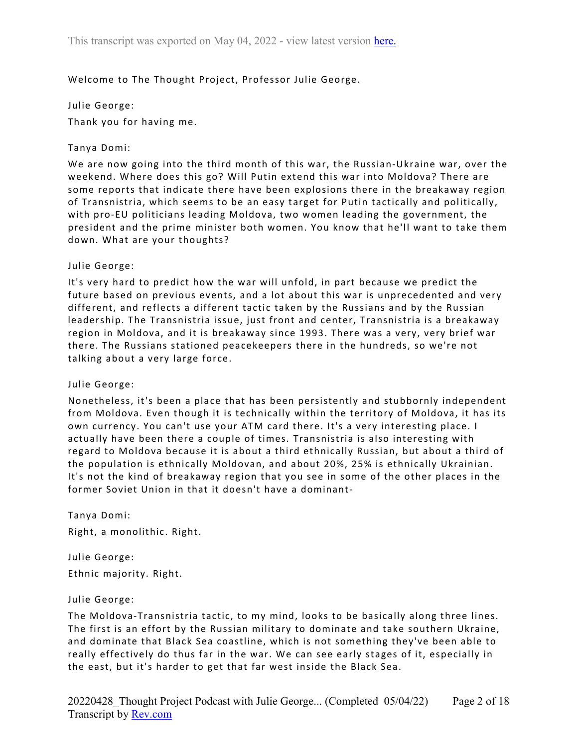# Welcome to The Thought Project, Professor Julie George.

Julie George:

Thank you for having me.

### Tanya Domi:

We are now going into the third month of this war, the Russian-Ukraine war, over the weekend. Where does this go? Will Putin extend this war into Moldova? There are some reports that indicate there have been explosions there in the breakaway region of Transnistria, which seems to be an easy target for Putin tactically and politically, with pro-EU politicians leading Moldova, two women leading the government, the president and the prime minister both women. You know that he'll want to take them down. What are your thoughts?

# Julie George:

It's very hard to predict how the war will unfold, in part because we predict the future based on previous events, and a lot about this war is unprecedented and very different, and reflects a different tactic taken by the Russians and by the Russian leadership. The Transnistria issue, just front and center, Transnistria is a breakaway region in Moldova, and it is breakaway since 1993. There was a very, very brief war there. The Russians stationed peacekeepers there in the hundreds, so we're not talking about a very large force.

#### Julie George:

Nonetheless, it's been a place that has been persistently and stubbornly independent from Moldova. Even though it is technically within the territory of Moldova, it has its own currency. You can't use your ATM card there. It's a very interesting place. I actually have been there a couple of times. Transnistria is also interesting with regard to Moldova because it is about a third ethnically Russian, but about a third of the population is ethnically Moldovan, and about 20%, 25% is ethnically Ukrainian. It's not the kind of breakaway region that you see in some of the other places in the former Soviet Union in that it doesn't have a dominant-

Tanya Domi: Right, a monolithic. Right.

Julie George: Ethnic majority. Right.

#### Julie George:

The Moldova-Transnistria tactic, to my mind, looks to be basically along three lines. The first is an effort by the Russian military to dominate and take southern Ukraine, and dominate that Black Sea coastline, which is not something they've been able to really effectively do thus far in the war. We can see early stages of it, especially in the east, but it's harder to get that far west inside the Black Sea.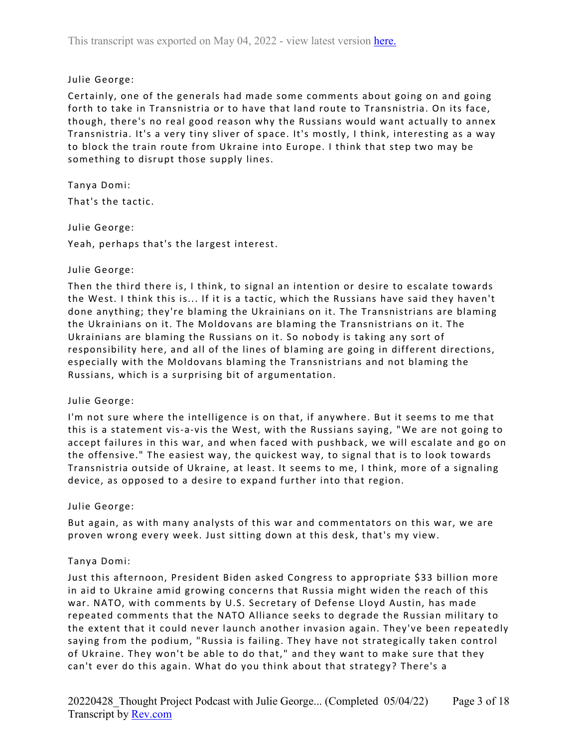# Julie George:

Certainly, one of the generals had made some comments about going on and going forth to take in Transnistria or to have that land route to Transnistria. On its face, though, there's no real good reason why the Russians would want actually to annex Transnistria. It's a very tiny sliver of space. It's mostly, I think, interesting as a way to block the train route from Ukraine into Europe. I think that step two may be something to disrupt those supply lines.

Tanya Domi: That's the tactic.

Julie George:

Yeah, perhaps that's the largest interest.

### Julie George:

Then the third there is, I think, to signal an intention or desire to escalate towards the West. I think this is... If it is a tactic, which the Russians have said they haven't done anything; they're blaming the Ukrainians on it. The Transnistrians are blaming the Ukrainians on it. The Moldovans are blaming the Transnistrians on it. The Ukrainians are blaming the Russians on it. So nobody is taking any sort of responsibility here, and all of the lines of blaming are going in different directions, especially with the Moldovans blaming the Transnistrians and not blaming the Russians, which is a surprising bit of argumentation.

# Julie George:

I'm not sure where the intelligence is on that, if anywhere. But it seems to me that this is a statement vis-a-vis the West, with the Russians saying, "We are not going to accept failures in this war, and when faced with pushback, we will escalate and go on the offensive." The easiest way, the quickest way, to signal that is to look towards Transnistria outside of Ukraine, at least. It seems to me, I think, more of a signaling device, as opposed to a desire to expand further into that region.

#### Julie George:

But again, as with many analysts of this war and commentators on this war, we are proven wrong every week. Just sitting down at this desk, that's my view.

#### Tanya Domi:

Just this afternoon, President Biden asked Congress to appropriate \$33 billion more in aid to Ukraine amid growing concerns that Russia might widen the reach of this war. NATO, with comments by U.S. Secretary of Defense Lloyd Austin, has made repeated comments that the NATO Alliance seeks to degrade the Russian military to the extent that it could never launch another invasion again. They've been repeatedly saying from the podium, "Russia is failing. They have not strategically taken control of Ukraine. They won't be able to do that," and they want to make sure that they can't ever do this again. What do you think about that strategy? There's a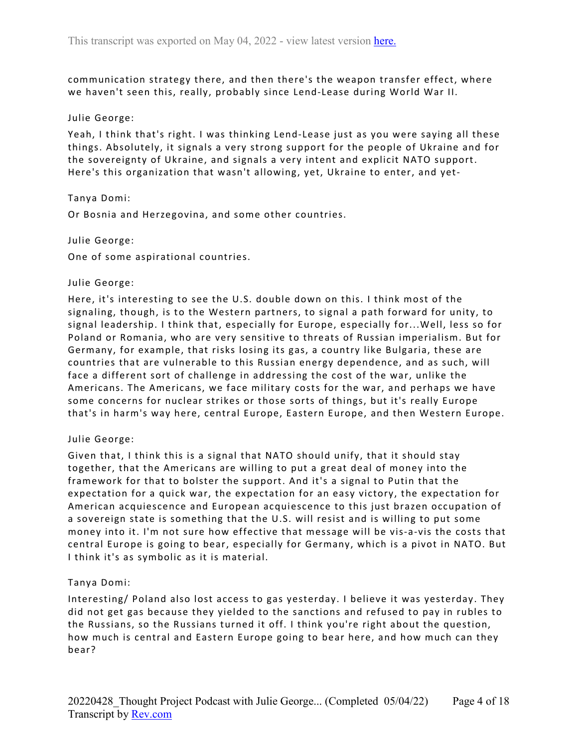communication strategy there, and then there's the weapon transfer effect, where we haven't seen this, really, probably since Lend-Lease during World War II.

#### Julie George:

Yeah, I think that's right. I was thinking Lend-Lease just as you were saying all these things. Absolutely, it signals a very strong support for the people of Ukraine and for the sovereignty of Ukraine, and signals a very intent and explicit NATO support. Here's this organization that wasn't allowing, yet, Ukraine to enter, and yet-

#### Tanya Domi:

Or Bosnia and Herzegovina, and some other countries.

#### Julie George:

One of some aspirational countries.

#### Julie George:

Here, it's interesting to see the U.S. double down on this. I think most of the signaling, though, is to the Western partners, to signal a path forward for unity, to signal leadership. I think that, especially for Europe, especially for...Well, less so for Poland or Romania, who are very sensitive to threats of Russian imperialism. But for Germany, for example, that risks losing its gas, a country like Bulgaria, these are countries that are vulnerable to this Russian energy dependence, and as such, will face a different sort of challenge in addressing the cost of the war, unlike the Americans. The Americans, we face military costs for the war, and perhaps we have some concerns for nuclear strikes or those sorts of things, but it's really Europe that's in harm's way here, central Europe, Eastern Europe, and then Western Europe.

#### Julie George:

Given that, I think this is a signal that NATO should unify, that it should stay together, that the Americans are willing to put a great deal of money into the framework for that to bolster the support. And it's a signal to Putin that the expectation for a quick war, the expectation for an easy victory, the expectation for American acquiescence and European acquiescence to this just brazen occupation of a sovereign state is something that the U.S. will resist and is willing to put some money into it. I'm not sure how effective that message will be vis-a-vis the costs that central Europe is going to bear, especially for Germany, which is a pivot in NATO. But I think it's as symbolic as it is material.

#### Tanya Domi:

Interesting/ Poland also lost access to gas yesterday. I believe it was yesterday. They did not get gas because they yielded to the sanctions and refused to pay in rubles to the Russians, so the Russians turned it off. I think you're right about the question, how much is central and Eastern Europe going to bear here, and how much can they bear?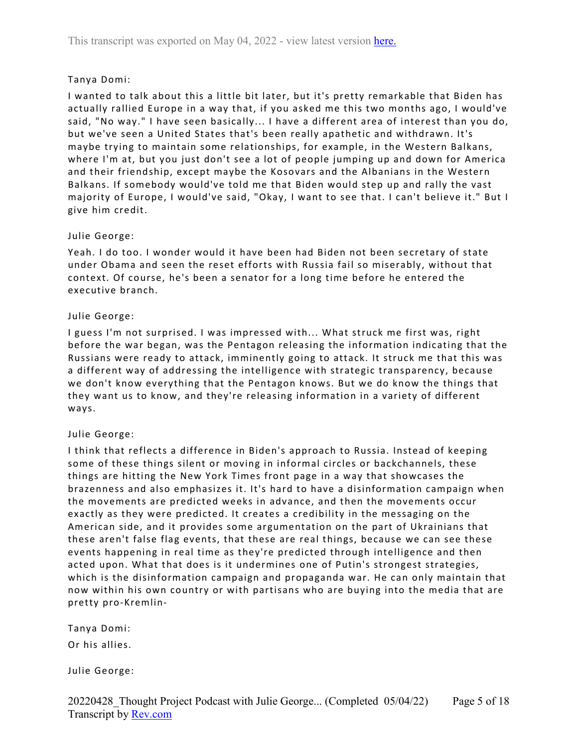# Tanya Domi:

I wanted to talk about this a little bit later, but it's pretty remarkable that Biden has actually rallied Europe in a way that, if you asked me this two months ago, I would've said, "No way." I have seen basically... I have a different area of interest than you do, but we've seen a United States that's been really apathetic and withdrawn. It's maybe trying to maintain some relationships, for example, in the Western Balkans, where I'm at, but you just don't see a lot of people jumping up and down for America and their friendship, except maybe the Kosovars and the Albanians in the Western Balkans. If somebody would've told me that Biden would step up and rally the vast majority of Europe, I would've said, "Okay, I want to see that. I can't believe it." But I give him credit.

### Julie George:

Yeah. I do too. I wonder would it have been had Biden not been secretary of state under Obama and seen the reset efforts with Russia fail so miserably, without that context. Of course, he's been a senator for a long time before he entered the executive branch.

### Julie George:

I guess I'm not surprised. I was impressed with... What struck me first was, right before the war began, was the Pentagon releasing the information indicating that the Russians were ready to attack, imminently going to attack. It struck me that this was a different way of addressing the intelligence with strategic transparency, because we don't know everything that the Pentagon knows. But we do know the things that they want us to know, and they're releasing information in a variety of different ways.

# Julie George:

I think that reflects a difference in Biden's approach to Russia. Instead of keeping some of these things silent or moving in informal circles or backchannels, these things are hitting the New York Times front page in a way that showcases the brazenness and also emphasizes it. It's hard to have a disinformation campaign when the movements are predicted weeks in advance, and then the movements occur exactly as they were predicted. It creates a credibility in the messaging on the American side, and it provides some argumentation on the part of Ukrainians that these aren't false flag events, that these are real things, because we can see these events happening in real time as they're predicted through intelligence and then acted upon. What that does is it undermines one of Putin's strongest strategies, which is the disinformation campaign and propaganda war. He can only maintain that now within his own country or with partisans who are buying into the media that are pretty pro-Kremlin-

Tanya Domi:

Or his allies.

Julie George: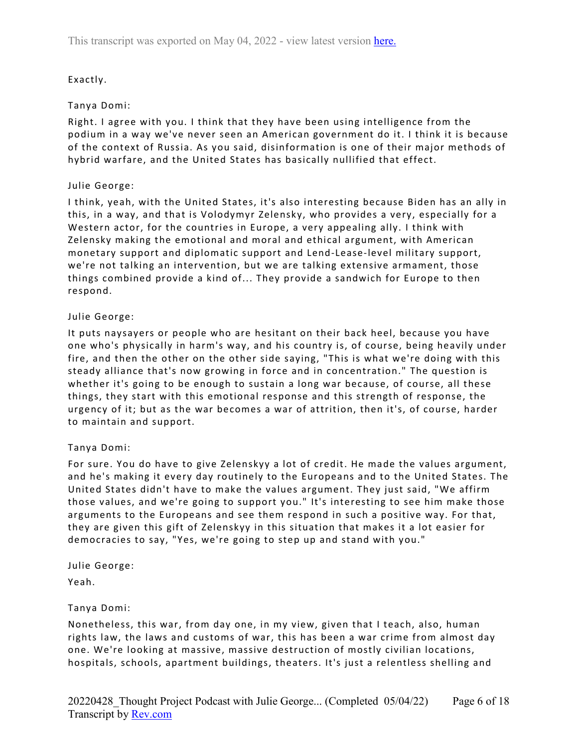# Exactly.

# Tanya Domi:

Right. I agree with you. I think that they have been using intelligence from the podium in a way we've never seen an American government do it. I think it is because of the context of Russia. As you said, disinformation is one of their major methods of hybrid warfare, and the United States has basically nullified that effect.

# Julie George:

I think, yeah, with the United States, it's also interesting because Biden has an ally in this, in a way, and that is Volodymyr Zelensky, who provides a very, especially for a Western actor, for the countries in Europe, a very appealing ally. I think with Zelensky making the emotional and moral and ethical argument, with American monetary support and diplomatic support and Lend-Lease-level military support, we're not talking an intervention, but we are talking extensive armament, those things combined provide a kind of... They provide a sandwich for Europe to then respond.

# Julie George:

It puts naysayers or people who are hesitant on their back heel, because you have one who's physically in harm's way, and his country is, of course, being heavily under fire, and then the other on the other side saying, "This is what we're doing with this steady alliance that's now growing in force and in concentration." The question is whether it's going to be enough to sustain a long war because, of course, all these things, they start with this emotional response and this strength of response, the urgency of it; but as the war becomes a war of attrition, then it's, of course, harder to maintain and support.

# Tanya Domi:

For sure. You do have to give Zelenskyy a lot of credit. He made the values argument, and he's making it every day routinely to the Europeans and to the United States. The United States didn't have to make the values argument. They just said, "We affirm those values, and we're going to support you." It's interesting to see him make those arguments to the Europeans and see them respond in such a positive way. For that, they are given this gift of Zelenskyy in this situation that makes it a lot easier for democracies to say, "Yes, we're going to step up and stand with you."

Julie George:

Yeah.

# Tanya Domi:

Nonetheless, this war, from day one, in my view, given that I teach, also, human rights law, the laws and customs of war, this has been a war crime from almost day one. We're looking at massive, massive destruction of mostly civilian locations, hospitals, schools, apartment buildings, theaters. It's just a relentless shelling and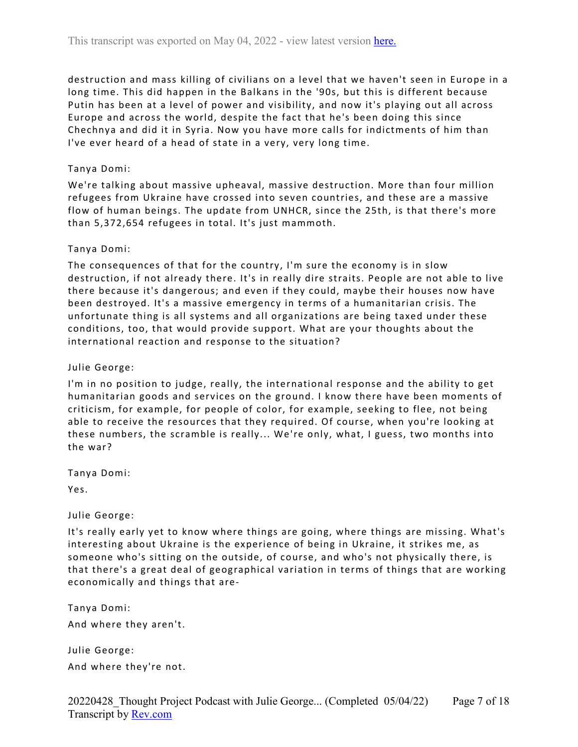destruction and mass killing of civilians on a level that we haven't seen in Europe in a long time. This did happen in the Balkans in the '90s, but this is different because Putin has been at a level of power and visibility, and now it's playing out all across Europe and across the world, despite the fact that he's been doing this since Chechnya and did it in Syria. Now you have more calls for indictments of him than I've ever heard of a head of state in a very, very long time.

### Tanya Domi:

We're talking about massive upheaval, massive destruction. More than four million refugees from Ukraine have crossed into seven countries, and these are a massive flow of human beings. The update from UNHCR, since the 25th, is that there's more than 5,372,654 refugees in total. It's just mammoth.

### Tanya Domi:

The consequences of that for the country, I'm sure the economy is in slow destruction, if not already there. It's in really dire straits. People are not able to live there because it's dangerous; and even if they could, maybe their houses now have been destroyed. It's a massive emergency in terms of a humanitarian crisis. The unfortunate thing is all systems and all organizations are being taxed under these conditions, too, that would provide support. What are your thoughts about the international reaction and response to the situation?

Julie George:

I'm in no position to judge, really, the international response and the ability to get humanitarian goods and services on the ground. I know there have been moments of criticism, for example, for people of color, for example, seeking to flee, not being able to receive the resources that they required. Of course, when you're looking at these numbers, the scramble is really... We're only, what, I guess, two months into the war?

Tanya Domi:

Yes.

# Julie George:

It's really early yet to know where things are going, where things are missing. What's interesting about Ukraine is the experience of being in Ukraine, it strikes me, as someone who's sitting on the outside, of course, and who's not physically there, is that there's a great deal of geographical variation in terms of things that are working economically and things that are-

Tanya Domi:

And where they aren't.

Julie George: And where they're not.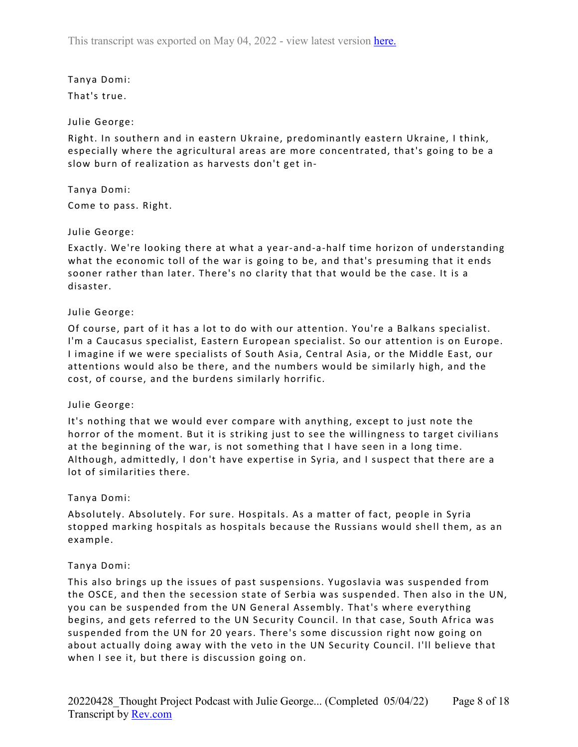Tanya Domi: That's true.

### Julie George:

Right. In southern and in eastern Ukraine, predominantly eastern Ukraine, I think, especially where the agricultural areas are more concentrated, that's going to be a slow burn of realization as harvests don't get in-

Tanya Domi: Come to pass. Right.

#### Julie George:

Exactly. We're looking there at what a year-and-a-half time horizon of understanding what the economic toll of the war is going to be, and that's presuming that it ends sooner rather than later. There's no clarity that that would be the case. It is a disaster.

### Julie George:

Of course, part of it has a lot to do with our attention. You're a Balkans specialist. I'm a Caucasus specialist, Eastern European specialist. So our attention is on Europe. I imagine if we were specialists of South Asia, Central Asia, or the Middle East, our attentions would also be there, and the numbers would be similarly high, and the cost, of course, and the burdens similarly horrific.

#### Julie George:

It's nothing that we would ever compare with anything, except to just note the horror of the moment. But it is striking just to see the willingness to target civilians at the beginning of the war, is not something that I have seen in a long time. Although, admittedly, I don't have expertise in Syria, and I suspect that there are a lot of similarities there.

#### Tanya Domi:

Absolutely. Absolutely. For sure. Hospitals. As a matter of fact, people in Syria stopped marking hospitals as hospitals because the Russians would shell them, as an example.

#### Tanya Domi:

This also brings up the issues of past suspensions. Yugoslavia was suspended from the OSCE, and then the secession state of Serbia was suspended. Then also in the UN, you can be suspended from the UN General Assembly. That's where everything begins, and gets referred to the UN Security Council. In that case, South Africa was suspended from the UN for 20 years. There's some discussion right now going on about actually doing away with the veto in the UN Security Council. I'll believe that when I see it, but there is discussion going on.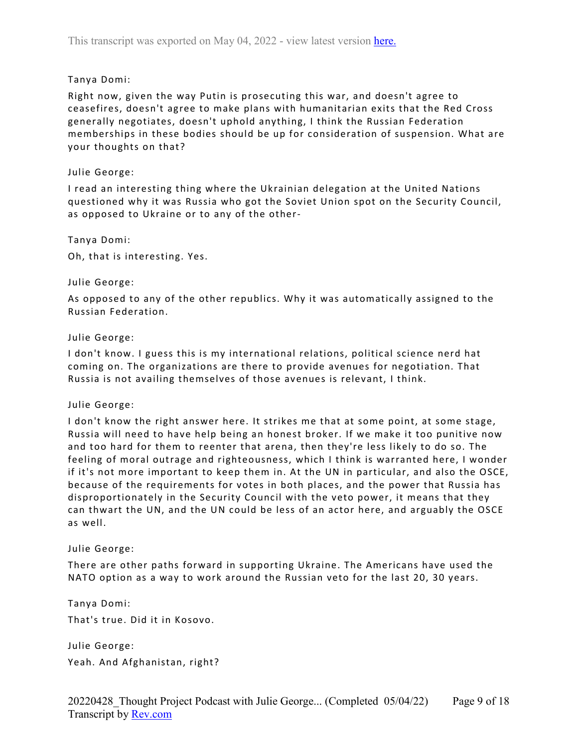# Tanya Domi:

Right now, given the way Putin is prosecuting this war, and doesn't agree to ceasefires, doesn't agree to make plans with humanitarian exits that the Red Cross generally negotiates, doesn't uphold anything, I think the Russian Federation memberships in these bodies should be up for consideration of suspension. What are your thoughts on that?

#### Julie George:

I read an interesting thing where the Ukrainian delegation at the United Nations questioned why it was Russia who got the Soviet Union spot on the Security Council, as opposed to Ukraine or to any of the other-

Tanya Domi: Oh, that is interesting. Yes.

#### Julie George:

As opposed to any of the other republics. Why it was automatically assigned to the Russian Federation.

### Julie George:

I don't know. I guess this is my international relations, political science nerd hat coming on. The organizations are there to provide avenues for negotiation. That Russia is not availing themselves of those avenues is relevant, I think.

# Julie George:

I don't know the right answer here. It strikes me that at some point, at some stage, Russia will need to have help being an honest broker. If we make it too punitive now and too hard for them to reenter that arena, then they're less likely to do so. The feeling of moral outrage and righteousness, which I think is warranted here, I wonder if it's not more important to keep them in. At the UN in particular, and also the OSCE, because of the requirements for votes in both places, and the power that Russia has disproportionately in the Security Council with the veto power, it means that they can thwart the UN, and the UN could be less of an actor here, and arguably the OSCE as well.

#### Julie George:

There are other paths forward in supporting Ukraine. The Americans have used the NATO option as a way to work around the Russian veto for the last 20, 30 years.

Tanya Domi: That's true. Did it in Kosovo.

Julie George: Yeah. And Afghanistan, right?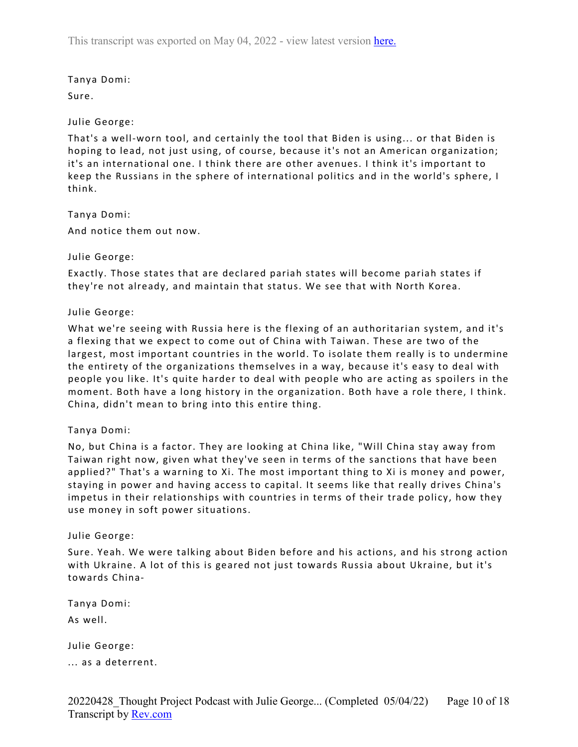Tanya Domi: Sure.

# Julie George:

That's a well-worn tool, and certainly the tool that Biden is using... or that Biden is hoping to lead, not just using, of course, because it's not an American organization; it's an international one. I think there are other avenues. I think it's important to keep the Russians in the sphere of international politics and in the world's sphere, I think.

### Tanya Domi:

And notice them out now.

### Julie George:

Exactly. Those states that are declared pariah states will become pariah states if they're not already, and maintain that status. We see that with North Korea.

#### Julie George:

What we're seeing with Russia here is the flexing of an authoritarian system, and it's a flexing that we expect to come out of China with Taiwan. These are two of the largest, most important countries in the world. To isolate them really is to undermine the entirety of the organizations themselves in a way, because it's easy to deal with people you like. It's quite harder to deal with people who are acting as spoilers in the moment. Both have a long history in the organization. Both have a role there, I think. China, didn't mean to bring into this entire thing.

#### Tanya Domi:

No, but China is a factor. They are looking at China like, "Will China stay away from Taiwan right now, given what they've seen in terms of the sanctions that have been applied?" That's a warning to Xi. The most important thing to Xi is money and power, staying in power and having access to capital. It seems like that really drives China's impetus in their relationships with countries in terms of their trade policy, how they use money in soft power situations.

#### Julie George:

Sure. Yeah. We were talking about Biden before and his actions, and his strong action with Ukraine. A lot of this is geared not just towards Russia about Ukraine, but it's towards China-

Tanya Domi:

As well.

Julie George:

... as a deterrent.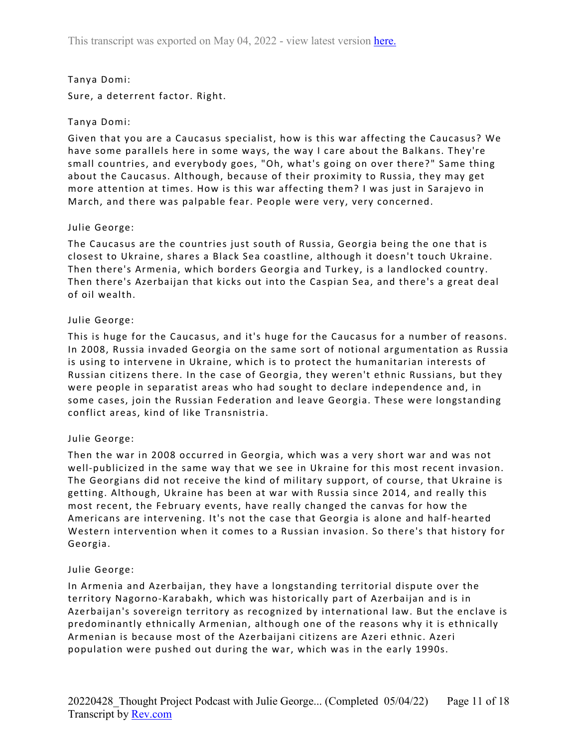Tanya Domi: Sure, a deterrent factor. Right.

# Tanya Domi:

Given that you are a Caucasus specialist, how is this war affecting the Caucasus? We have some parallels here in some ways, the way I care about the Balkans. They're small countries, and everybody goes, "Oh, what's going on over there?" Same thing about the Caucasus. Although, because of their proximity to Russia, they may get more attention at times. How is this war affecting them? I was just in Sarajevo in March, and there was palpable fear. People were very, very concerned.

# Julie George:

The Caucasus are the countries just south of Russia, Georgia being the one that is closest to Ukraine, shares a Black Sea coastline, although it doesn't touch Ukraine. Then there's Armenia, which borders Georgia and Turkey, is a landlocked country. Then there's Azerbaijan that kicks out into the Caspian Sea, and there's a great deal of oil wealth.

# Julie George:

This is huge for the Caucasus, and it's huge for the Caucasus for a number of reasons. In 2008, Russia invaded Georgia on the same sort of notional argumentation as Russia is using to intervene in Ukraine, which is to protect the humanitarian interests of Russian citizens there. In the case of Georgia, they weren't ethnic Russians, but they were people in separatist areas who had sought to declare independence and, in some cases, join the Russian Federation and leave Georgia. These were longstanding conflict areas, kind of like Transnistria.

# Julie George:

Then the war in 2008 occurred in Georgia, which was a very short war and was not well-publicized in the same way that we see in Ukraine for this most recent invasion. The Georgians did not receive the kind of military support, of course, that Ukraine is getting. Although, Ukraine has been at war with Russia since 2014, and really this most recent, the February events, have really changed the canvas for how the Americans are intervening. It's not the case that Georgia is alone and half-hearted Western intervention when it comes to a Russian invasion. So there's that history for Georgia.

# Julie George:

In Armenia and Azerbaijan, they have a longstanding territorial dispute over the territory Nagorno-Karabakh, which was historically part of Azerbaijan and is in Azerbaijan's sovereign territory as recognized by international law. But the enclave is predominantly ethnically Armenian, although one of the reasons why it is ethnically Armenian is because most of the Azerbaijani citizens are Azeri ethnic. Azeri population were pushed out during the war, which was in the early 1990s.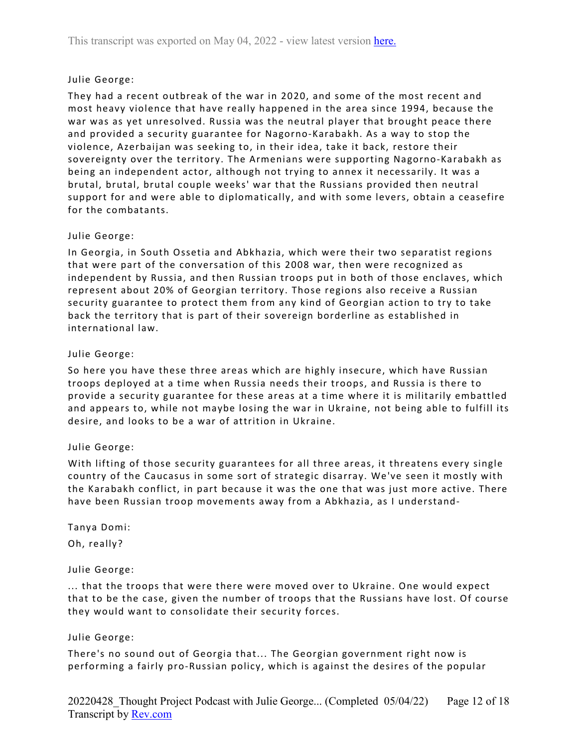# Julie George:

They had a recent outbreak of the war in 2020, and some of the most recent and most heavy violence that have really happened in the area since 1994, because the war was as yet unresolved. Russia was the neutral player that brought peace there and provided a security guarantee for Nagorno-Karabakh. As a way to stop the violence, Azerbaijan was seeking to, in their idea, take it back, restore their sovereignty over the territory. The Armenians were supporting Nagorno-Karabakh as being an independent actor, although not trying to annex it necessarily. It was a brutal, brutal, brutal couple weeks' war that the Russians provided then neutral support for and were able to diplomatically, and with some levers, obtain a ceasefire for the combatants.

# Julie George:

In Georgia, in South Ossetia and Abkhazia, which were their two separatist regions that were part of the conversation of this 2008 war, then were recognized as independent by Russia, and then Russian troops put in both of those enclaves, which represent about 20% of Georgian territory. Those regions also receive a Russian security guarantee to protect them from any kind of Georgian action to try to take back the territory that is part of their sovereign borderline as established in international law.

# Julie George:

So here you have these three areas which are highly insecure, which have Russian troops deployed at a time when Russia needs their troops, and Russia is there to provide a security guarantee for these areas at a time where it is militarily embattled and appears to, while not maybe losing the war in Ukraine, not being able to fulfill its desire, and looks to be a war of attrition in Ukraine.

# Julie George:

With lifting of those security guarantees for all three areas, it threatens every single country of the Caucasus in some sort of strategic disarray. We've seen it mostly with the Karabakh conflict, in part because it was the one that was just more active. There have been Russian troop movements away from a Abkhazia, as I understand-

# Tanya Domi:

Oh, really?

# Julie George:

... that the troops that were there were moved over to Ukraine. One would expect that to be the case, given the number of troops that the Russians have lost. Of course they would want to consolidate their security forces.

# Julie George:

There's no sound out of Georgia that... The Georgian government right now is performing a fairly pro-Russian policy, which is against the desires of the popular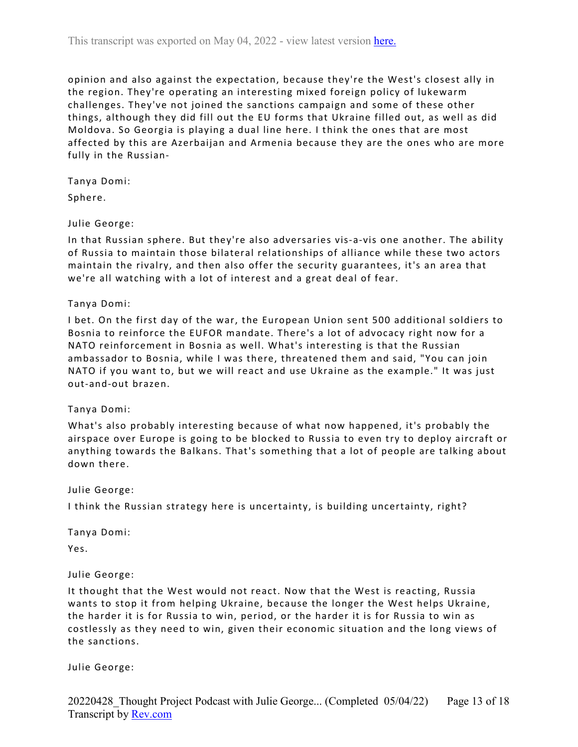opinion and also against the expectation, because they're the West's closest ally in the region. They're operating an interesting mixed foreign policy of lukewarm challenges. They've not joined the sanctions campaign and some of these other things, although they did fill out the EU forms that Ukraine filled out, as well as did Moldova. So Georgia is playing a dual line here. I think the ones that are most affected by this are Azerbaijan and Armenia because they are the ones who are more fully in the Russian-

Tanya Domi:

Sphere.

Julie George:

In that Russian sphere. But they're also adversaries vis-a-vis one another. The ability of Russia to maintain those bilateral relationships of alliance while these two actors maintain the rivalry, and then also offer the security guarantees, it's an area that we're all watching with a lot of interest and a great deal of fear.

Tanya Domi:

I bet. On the first day of the war, the European Union sent 500 additional soldiers to Bosnia to reinforce the EUFOR mandate. There's a lot of advocacy right now for a NATO reinforcement in Bosnia as well. What's interesting is that the Russian ambassador to Bosnia, while I was there, threatened them and said, "You can join NATO if you want to, but we will react and use Ukraine as the example." It was just out-and-out brazen.

#### Tanya Domi:

What's also probably interesting because of what now happened, it's probably the airspace over Europe is going to be blocked to Russia to even try to deploy aircraft or anything towards the Balkans. That's something that a lot of people are talking about down there.

Julie George:

I think the Russian strategy here is uncertainty, is building uncertainty, right?

Tanya Domi:

Yes.

Julie George:

It thought that the West would not react. Now that the West is reacting, Russia wants to stop it from helping Ukraine, because the longer the West helps Ukraine, the harder it is for Russia to win, period, or the harder it is for Russia to win as costlessly as they need to win, given their economic situation and the long views of the sanctions.

Julie George: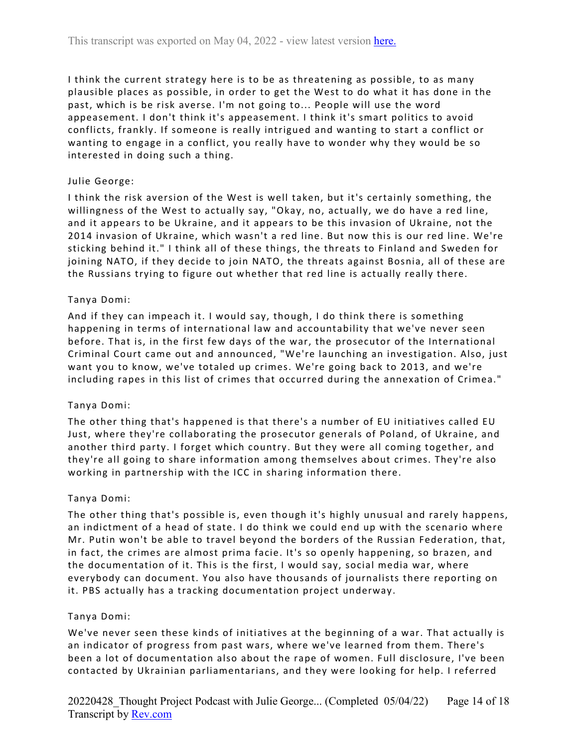I think the current strategy here is to be as threatening as possible, to as many plausible places as possible, in order to get the West to do what it has done in the past, which is be risk averse. I'm not going to... People will use the word appeasement. I don't think it's appeasement. I think it's smart politics to avoid conflicts, frankly. If someone is really intrigued and wanting to start a conflict or wanting to engage in a conflict, you really have to wonder why they would be so interested in doing such a thing.

### Julie George:

I think the risk aversion of the West is well taken, but it's certainly something, the willingness of the West to actually say, "Okay, no, actually, we do have a red line, and it appears to be Ukraine, and it appears to be this invasion of Ukraine, not the 2014 invasion of Ukraine, which wasn't a red line. But now this is our red line. We're sticking behind it." I think all of these things, the threats to Finland and Sweden for joining NATO, if they decide to join NATO, the threats against Bosnia, all of these are the Russians trying to figure out whether that red line is actually really there.

### Tanya Domi:

And if they can impeach it. I would say, though, I do think there is something happening in terms of international law and accountability that we've never seen before. That is, in the first few days of the war, the prosecutor of the International Criminal Court came out and announced, "We're launching an investigation. Also, just want you to know, we've totaled up crimes. We're going back to 2013, and we're including rapes in this list of crimes that occurred during the annexation of Crimea."

#### Tanya Domi:

The other thing that's happened is that there's a number of EU initiatives called EU Just, where they're collaborating the prosecutor generals of Poland, of Ukraine, and another third party. I forget which country. But they were all coming together, and they're all going to share information among themselves about crimes. They're also working in partnership with the ICC in sharing information there.

#### Tanya Domi:

The other thing that's possible is, even though it's highly unusual and rarely happens, an indictment of a head of state. I do think we could end up with the scenario where Mr. Putin won't be able to travel beyond the borders of the Russian Federation, that, in fact, the crimes are almost prima facie. It's so openly happening, so brazen, and the documentation of it. This is the first, I would say, social media war, where everybody can document. You also have thousands of journalists there reporting on it. PBS actually has a tracking documentation project underway.

#### Tanya Domi:

We've never seen these kinds of initiatives at the beginning of a war. That actually is an indicator of progress from past wars, where we've learned from them. There's been a lot of documentation also about the rape of women. Full disclosure, I've been contacted by Ukrainian parliamentarians, and they were looking for help. I referred

20220428 Thought Project Podcast with Julie George... (Completed 05/04/22) Transcript by **Rev.com** Page 14 of 18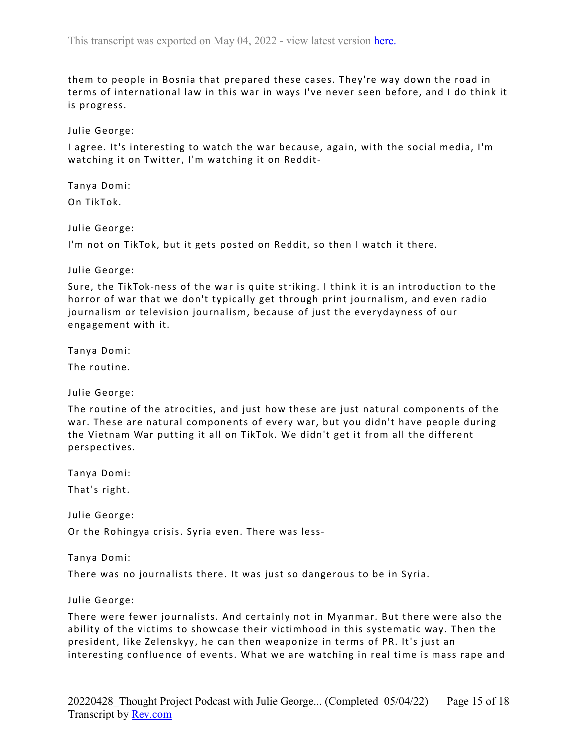them to people in Bosnia that prepared these cases. They're way down the road in terms of international law in this war in ways I've never seen before, and I do think it is progress.

Julie George:

I agree. It's interesting to watch the war because, again, with the social media, I'm watching it on Twitter, I'm watching it on Reddit-

Tanya Domi: On TikTok.

Julie George:

I'm not on TikTok, but it gets posted on Reddit, so then I watch it there.

Julie George:

Sure, the TikTok-ness of the war is quite striking. I think it is an introduction to the horror of war that we don't typically get through print journalism, and even radio journalism or television journalism, because of just the everydayness of our engagement with it.

Tanya Domi:

The routine.

Julie George:

The routine of the atrocities, and just how these are just natural components of the war. These are natural components of every war, but you didn't have people during the Vietnam War putting it all on TikTok. We didn't get it from all the different perspectives.

Tanya Domi:

That's right.

Julie George:

Or the Rohingya crisis. Syria even. There was less-

Tanya Domi:

There was no journalists there. It was just so dangerous to be in Syria.

Julie George:

There were fewer journalists. And certainly not in Myanmar. But there were also the ability of the victims to showcase their victimhood in this systematic way. Then the president, like Zelenskyy, he can then weaponize in terms of PR. It's just an interesting confluence of events. What we are watching in real time is mass rape and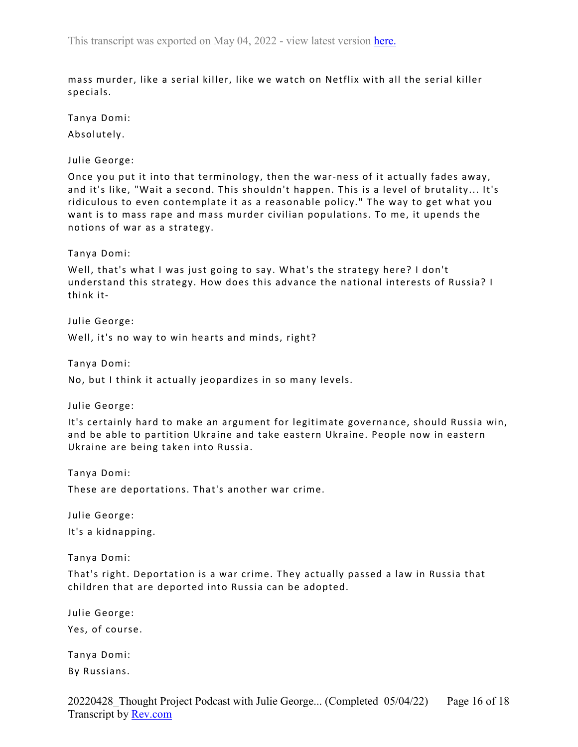mass murder, like a serial killer, like we watch on Netflix with all the serial killer specials.

Tanya Domi:

Absolutely.

Julie George:

Once you put it into that terminology, then the war-ness of it actually fades away, and it's like, "Wait a second. This shouldn't happen. This is a level of brutality... It's ridiculous to even contemplate it as a reasonable policy." The way to get what you want is to mass rape and mass murder civilian populations. To me, it upends the notions of war as a strategy.

Tanya Domi:

Well, that's what I was just going to say. What's the strategy here? I don't understand this strategy. How does this advance the national interests of Russia? I think it-

Julie George:

Well, it's no way to win hearts and minds, right?

Tanya Domi:

No, but I think it actually jeopardizes in so many levels.

Julie George:

It's certainly hard to make an argument for legitimate governance, should Russia win, and be able to partition Ukraine and take eastern Ukraine. People now in eastern Ukraine are being taken into Russia.

Tanya Domi:

These are deportations. That's another war crime.

Julie George:

It's a kidnapping.

Tanya Domi:

That's right. Deportation is a war crime. They actually passed a law in Russia that children that are deported into Russia can be adopted.

Julie George:

Yes, of course.

Tanya Domi: By Russians.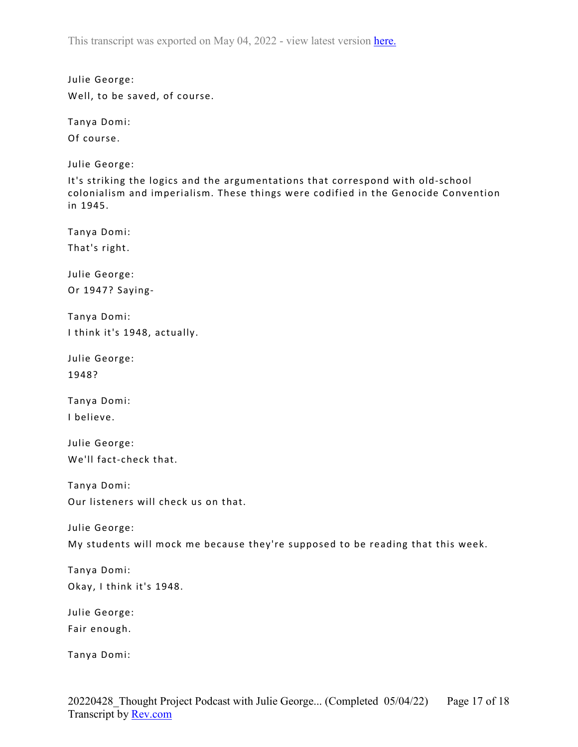Julie George: Well, to be saved, of course.

Tanya Domi:

Of course.

Julie George:

It's striking the logics and the argumentations that correspond with old-school colonialism and imperialism. These things were codified in the Genocide Convention in 1945.

Tanya Domi:

That's right.

Julie George: Or 1947? Saying-

Tanya Domi: I think it's 1948, actually.

Julie George: 1948?

Tanya Domi: I believe.

Julie George: We'll fact-check that.

Tanya Domi: Our listeners will check us on that.

Julie George: My students will mock me because they're supposed to be reading that this week.

Tanya Domi: Okay, I think it's 1948.

Julie George: Fair enough.

Tanya Domi: